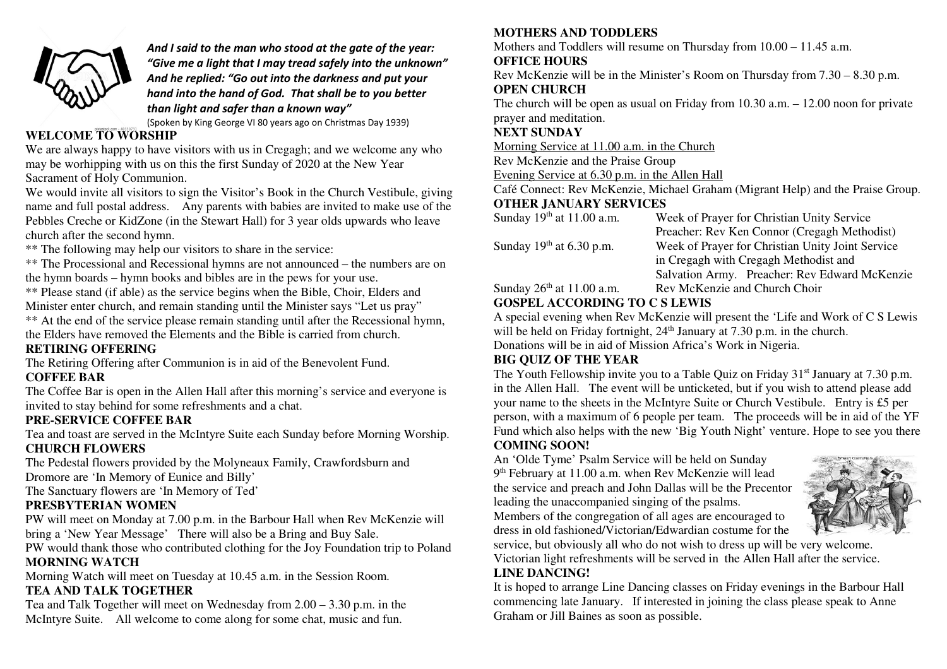

 *And I said to the man who stood at the gate of the year: "Give me a light that I may tread safely into the unknown" And he replied: "Go out into the darkness and put your hand into the hand of God. That shall be to you better than light and safer than a known way"* 

(Spoken by King George VI 80 years ago on Christmas Day 1939)

#### **WELCOME TO WORSHIP**

 We are always happy to have visitors with us in Cregagh; and we welcome any who may be worhipping with us on this the first Sunday of 2020 at the New Year Sacrament of Holy Communion.

 We would invite all visitors to sign the Visitor's Book in the Church Vestibule, giving name and full postal address. Any parents with babies are invited to make use of the Pebbles Creche or KidZone (in the Stewart Hall) for 3 year olds upwards who leave church after the second hymn.

\*\* The following may help our visitors to share in the service:

 \*\* The Processional and Recessional hymns are not announced – the numbers are on the hymn boards – hymn books and bibles are in the pews for your use.

 \*\* Please stand (if able) as the service begins when the Bible, Choir, Elders and Minister enter church, and remain standing until the Minister says "Let us pray"

\*\* At the end of the service please remain standing until after the Recessional hymn, the Elders have removed the Elements and the Bible is carried from church.

### **RETIRING OFFERING**

The Retiring Offering after Communion is in aid of the Benevolent Fund.

#### **COFFEE BAR**

 The Coffee Bar is open in the Allen Hall after this morning's service and everyone is invited to stay behind for some refreshments and a chat.

### **PRE-SERVICE COFFEE BAR**

 Tea and toast are served in the McIntyre Suite each Sunday before Morning Worship. **CHURCH FLOWERS** 

 The Pedestal flowers provided by the Molyneaux Family, Crawfordsburn and Dromore are 'In Memory of Eunice and Billy'

The Sanctuary flowers are 'In Memory of Ted'

# **PRESBYTERIAN WOMEN**

 PW will meet on Monday at 7.00 p.m. in the Barbour Hall when Rev McKenzie will bring a 'New Year Message' There will also be a Bring and Buy Sale.

 PW would thank those who contributed clothing for the Joy Foundation trip to Poland **MORNING WATCH** 

Morning Watch will meet on Tuesday at 10.45 a.m. in the Session Room.

### **TEA AND TALK TOGETHER**

 Tea and Talk Together will meet on Wednesday from 2.00 – 3.30 p.m. in the McIntyre Suite. All welcome to come along for some chat, music and fun.

#### **MOTHERS AND TODDLERS**

Mothers and Toddlers will resume on Thursday from 10.00 – 11.45 a.m.

### **OFFICE HOURS**

 Rev McKenzie will be in the Minister's Room on Thursday from 7.30 – 8.30 p.m. **OPEN CHURCH** 

 The church will be open as usual on Friday from 10.30 a.m. – 12.00 noon for private prayer and meditation.

### **NEXT SUNDAY**

Morning Service at 11.00 a.m. in the Church

Rev McKenzie and the Praise Group

Evening Service at 6.30 p.m. in the Allen Hall

 Café Connect: Rev McKenzie, Michael Graham (Migrant Help) and the Praise Group. **OTHER JANUARY SERVICES** 

| Sunday $19th$ at 11.00 a.m. | Week of Prayer for Christian Unity Service       |
|-----------------------------|--------------------------------------------------|
|                             | Preacher: Rev Ken Connor (Cregagh Methodist)     |
| Sunday $19th$ at 6.30 p.m.  | Week of Prayer for Christian Unity Joint Service |
|                             | in Cregagh with Cregagh Methodist and            |
|                             | Salvation Army. Preacher: Rev Edward McKenzie    |
| Sunday $26th$ at 11.00 a.m. | Rev McKenzie and Church Choir                    |

### **GOSPEL ACCORDING TO C S LEWIS**

 A special evening when Rev McKenzie will present the 'Life and Work of C S Lewis will be held on Friday fortnight, 24<sup>th</sup> January at 7.30 p.m. in the church. Donations will be in aid of Mission Africa's Work in Nigeria.

# **BIG QUIZ OF THE YEAR**

The Youth Fellowship invite you to a Table Quiz on Friday 31<sup>st</sup> January at 7.30 p.m. in the Allen Hall. The event will be unticketed, but if you wish to attend please add your name to the sheets in the McIntyre Suite or Church Vestibule. Entry is £5 per person, with a maximum of 6 people per team. The proceeds will be in aid of the YF Fund which also helps with the new 'Big Youth Night' venture. Hope to see you there **COMING SOON!** 

 An 'Olde Tyme' Psalm Service will be held on Sunday9<sup>th</sup> February at 11.00 a.m. when Rev McKenzie will lead the service and preach and John Dallas will be the Precentor leading the unaccompanied singing of the psalms.

 Members of the congregation of all ages are encouraged to dress in old fashioned/Victorian/Edwardian costume for the



 service, but obviously all who do not wish to dress up will be very welcome. Victorian light refreshments will be served in the Allen Hall after the service. **LINE DANCING!** 

 It is hoped to arrange Line Dancing classes on Friday evenings in the Barbour Hall commencing late January. If interested in joining the class please speak to Anne Graham or Jill Baines as soon as possible.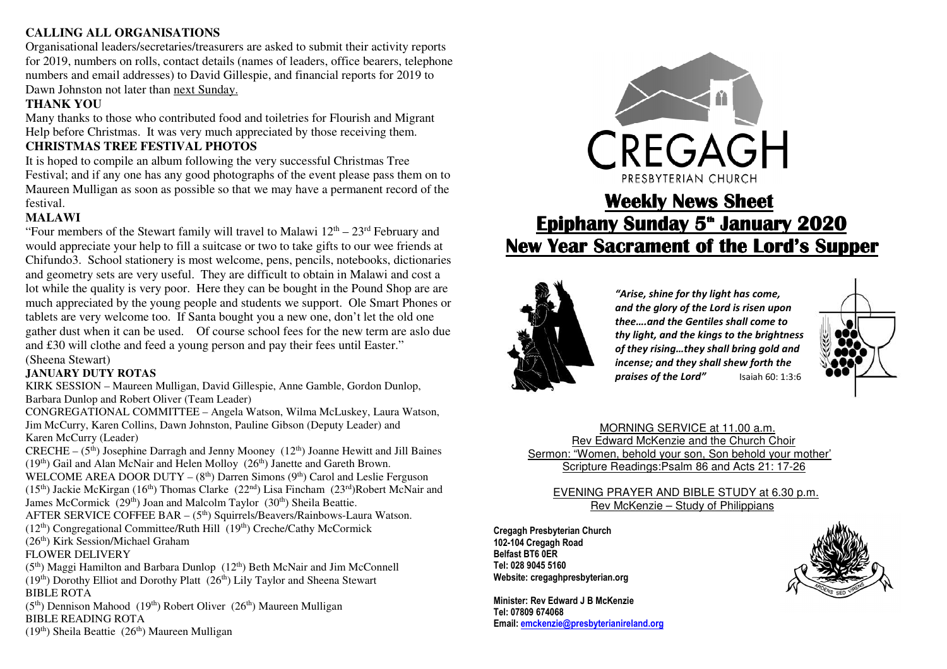#### **CALLING ALL ORGANISATIONS**

Organisational leaders/secretaries/treasurers are asked to submit their activity reports for 2019, numbers on rolls, contact details (names of leaders, office bearers, telephone numbers and email addresses) to David Gillespie, and financial reports for 2019 to Dawn Johnston not later than next Sunday.

# **THANK YOU**

 Many thanks to those who contributed food and toiletries for Flourish and Migrant Help before Christmas. It was very much appreciated by those receiving them.

#### **CHRISTMAS TREE FESTIVAL PHOTOS**

 It is hoped to compile an album following the very successful Christmas Tree Festival; and if any one has any good photographs of the event please pass them on to Maureen Mulligan as soon as possible so that we may have a permanent record of the festival.

#### **MALAWI**

"Four members of the Stewart family will travel to Malawi  $12<sup>th</sup> - 23<sup>rd</sup>$  February and would appreciate your help to fill a suitcase or two to take gifts to our wee friends at Chifundo3. School stationery is most welcome, pens, pencils, notebooks, dictionaries and geometry sets are very useful. They are difficult to obtain in Malawi and cost a lot while the quality is very poor. Here they can be bought in the Pound Shop are are much appreciated by the young people and students we support. Ole Smart Phones or tablets are very welcome too. If Santa bought you a new one, don't let the old one gather dust when it can be used. Of course school fees for the new term are aslo due and £30 will clothe and feed a young person and pay their fees until Easter." (Sheena Stewart)

# **JANUARY DUTY ROTAS**

 KIRK SESSION – Maureen Mulligan, David Gillespie, Anne Gamble, Gordon Dunlop, Barbara Dunlop and Robert Oliver (Team Leader)

 CONGREGATIONAL COMMITTEE – Angela Watson, Wilma McLuskey, Laura Watson, Jim McCurry, Karen Collins, Dawn Johnston, Pauline Gibson (Deputy Leader) and Karen McCurry (Leader)

CRECHE –  $(5<sup>th</sup>)$  Josephine Darragh and Jenny Mooney  $(12<sup>th</sup>)$  Joanne Hewitt and Jill Baines  $(19<sup>th</sup>)$  Gail and Alan McNair and Helen Molloy  $(26<sup>th</sup>)$  Janette and Gareth Brown.

WELCOME AREA DOOR DUTY  $-(8<sup>th</sup>)$  Darren Simons  $(9<sup>th</sup>)$  Carol and Leslie Ferguson  $(15<sup>th</sup>)$  Jackie McKirgan  $(16<sup>th</sup>)$  Thomas Clarke  $(22<sup>nd</sup>)$  Lisa Fincham  $(23<sup>rd</sup>)$ Robert McNair and

James McCormick (29<sup>th</sup>) Joan and Malcolm Taylor (30<sup>th</sup>) Sheila Beattie.

AFTER SERVICE COFFEE BAR - (5<sup>th</sup>) Squirrels/Beavers/Rainbows-Laura Watson.

- (12th) Congregational Committee/Ruth Hill (19th) Creche/Cathy McCormick
- (26th) Kirk Session/Michael Graham

### FLOWER DELIVERY

(5<sup>th</sup>) Maggi Hamilton and Barbara Dunlop (12<sup>th</sup>) Beth McNair and Jim McConnell  $(19<sup>th</sup>)$  Dorothy Elliot and Dorothy Platt  $(26<sup>th</sup>)$  Lily Taylor and Sheena Stewart BIBLE ROTA

(5<sup>th</sup>) Dennison Mahood (19<sup>th</sup>) Robert Oliver (26<sup>th</sup>) Maureen Mulligan BIBLE READING ROTA

 $(19<sup>th</sup>)$  Sheila Beattie  $(26<sup>th</sup>)$  Maureen Mulligan



# **Weekly News Sheet Sheet Epiphany Sunday 5<sup>\*</sup> January 2020 New Year Sacrament of the Lord's Supper Sacrament of the Supper Supper**



 *"Arise, shine for thy light has come, and the glory of the Lord is risen upon thee….and the Gentiles shall come to thy light, and the kings to the brightness of they rising…they shall bring gold and incense; and they shall shew forth the praises of the Lord"* Isaiah 60: 1:3:6



 MORNING SERVICE at 11.00 a.m. Rev Edward McKenzie and the Church Choir Sermon: "Women, behold your son, Son behold your mother' Scripture Readings:Psalm 86 and Acts 21: 17-26

#### EVENING PRAYER AND BIBLE STUDY at 6.30 p.m. Rev McKenzie – Study of Philippians

**Cregagh Presbyterian Church 102-104 Cregagh Road Belfast BT6 0ER Tel: 028 9045 5160 Website: cregaghpresbyterian.org** 

**Minister: Rev Edward J B McKenzie Tel: 07809 674068 Email: emckenzie@presbyterianireland.org**